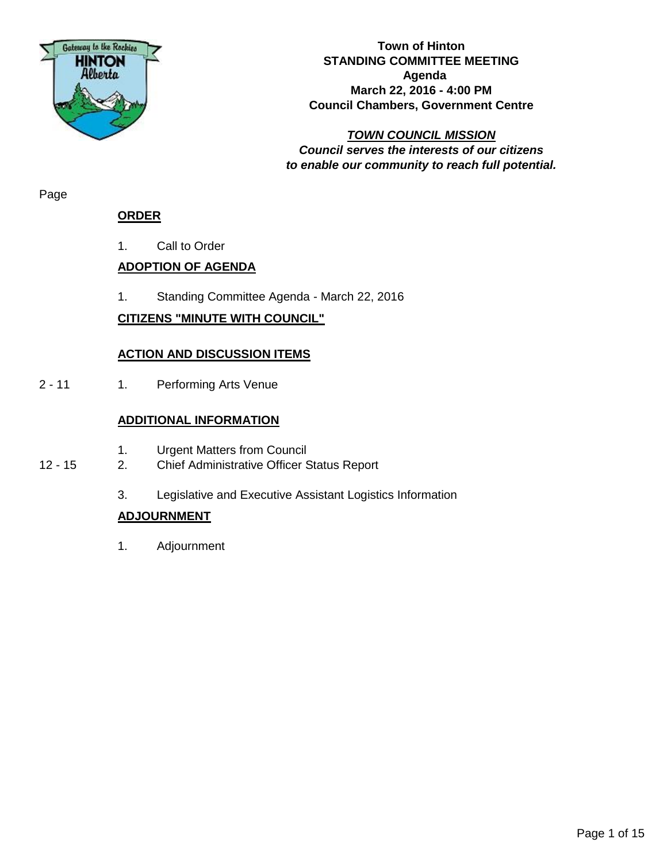

### **Town of Hinton STANDING COMMITTEE MEETING Agenda March 22, 2016 - 4:00 PM Council Chambers, Government Centre**

*TOWN COUNCIL MISSION Council serves the interests of our citizens to enable our community to reach full potential.*

Page

# **ORDER**

1. Call to Order

# **ADOPTION OF AGENDA**

1. Standing Committee Agenda - March 22, 2016

# **CITIZENS "MINUTE WITH COUNCIL"**

# **ACTION AND DISCUSSION ITEMS**

2 - 11 1. Performing Arts Venue

# **ADDITIONAL INFORMATION**

- 1. Urgent Matters from Council
- 12 15 2. Chief Administrative Officer Status Report
	- 3. Legislative and Executive Assistant Logistics Information

# **ADJOURNMENT**

1. Adjournment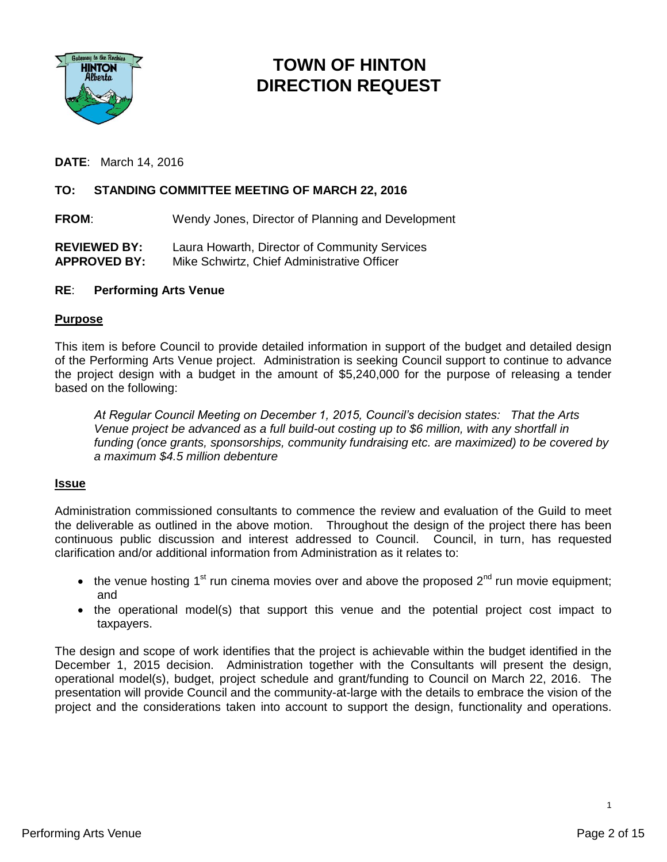

# **TOWN OF HINTON DIRECTION REQUEST**

**DATE**: March 14, 2016

# **TO: STANDING COMMITTEE MEETING OF MARCH 22, 2016**

**FROM**: Wendy Jones, Director of Planning and Development

**REVIEWED BY:** Laura Howarth, Director of Community Services **APPROVED BY:** Mike Schwirtz, Chief Administrative Officer

### **RE**: **Performing Arts Venue**

### **Purpose**

This item is before Council to provide detailed information in support of the budget and detailed design of the Performing Arts Venue project. Administration is seeking Council support to continue to advance the project design with a budget in the amount of \$5,240,000 for the purpose of releasing a tender based on the following:

*At Regular Council Meeting on December 1, 2015, Council's decision states: That the Arts Venue project be advanced as a full build-out costing up to \$6 million, with any shortfall in funding (once grants, sponsorships, community fundraising etc. are maximized) to be covered by a maximum \$4.5 million debenture*

### **Issue**

Administration commissioned consultants to commence the review and evaluation of the Guild to meet the deliverable as outlined in the above motion. Throughout the design of the project there has been continuous public discussion and interest addressed to Council. Council, in turn, has requested clarification and/or additional information from Administration as it relates to:

- the venue hosting 1<sup>st</sup> run cinema movies over and above the proposed  $2^{nd}$  run movie equipment; and
- the operational model(s) that support this venue and the potential project cost impact to taxpayers.

The design and scope of work identifies that the project is achievable within the budget identified in the December 1, 2015 decision. Administration together with the Consultants will present the design, operational model(s), budget, project schedule and grant/funding to Council on March 22, 2016. The presentation will provide Council and the community-at-large with the details to embrace the vision of the project and the considerations taken into account to support the design, functionality and operations.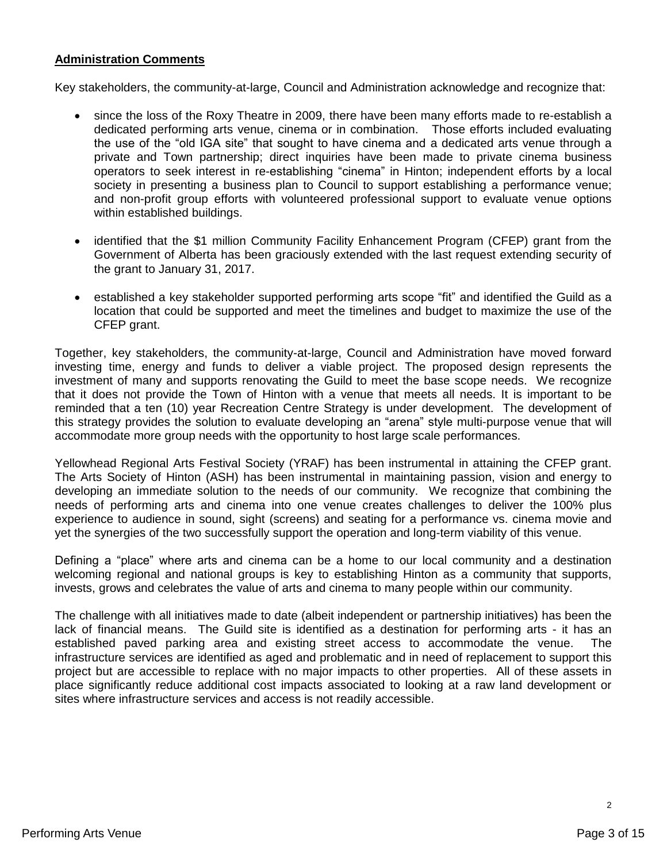#### **Administration Comments**

Key stakeholders, the community-at-large, Council and Administration acknowledge and recognize that:

- since the loss of the Roxy Theatre in 2009, there have been many efforts made to re-establish a dedicated performing arts venue, cinema or in combination. Those efforts included evaluating the use of the "old IGA site" that sought to have cinema and a dedicated arts venue through a private and Town partnership; direct inquiries have been made to private cinema business operators to seek interest in re-establishing "cinema" in Hinton; independent efforts by a local society in presenting a business plan to Council to support establishing a performance venue; and non-profit group efforts with volunteered professional support to evaluate venue options within established buildings.
- identified that the \$1 million Community Facility Enhancement Program (CFEP) grant from the Government of Alberta has been graciously extended with the last request extending security of the grant to January 31, 2017.
- established a key stakeholder supported performing arts scope "fit" and identified the Guild as a location that could be supported and meet the timelines and budget to maximize the use of the CFEP grant.

Together, key stakeholders, the community-at-large, Council and Administration have moved forward investing time, energy and funds to deliver a viable project. The proposed design represents the investment of many and supports renovating the Guild to meet the base scope needs. We recognize that it does not provide the Town of Hinton with a venue that meets all needs. It is important to be reminded that a ten (10) year Recreation Centre Strategy is under development. The development of this strategy provides the solution to evaluate developing an "arena" style multi-purpose venue that will accommodate more group needs with the opportunity to host large scale performances.

Yellowhead Regional Arts Festival Society (YRAF) has been instrumental in attaining the CFEP grant. The Arts Society of Hinton (ASH) has been instrumental in maintaining passion, vision and energy to developing an immediate solution to the needs of our community. We recognize that combining the needs of performing arts and cinema into one venue creates challenges to deliver the 100% plus experience to audience in sound, sight (screens) and seating for a performance vs. cinema movie and yet the synergies of the two successfully support the operation and long-term viability of this venue.

Defining a "place" where arts and cinema can be a home to our local community and a destination welcoming regional and national groups is key to establishing Hinton as a community that supports, invests, grows and celebrates the value of arts and cinema to many people within our community.

The challenge with all initiatives made to date (albeit independent or partnership initiatives) has been the lack of financial means. The Guild site is identified as a destination for performing arts - it has an established paved parking area and existing street access to accommodate the venue. The infrastructure services are identified as aged and problematic and in need of replacement to support this project but are accessible to replace with no major impacts to other properties. All of these assets in place significantly reduce additional cost impacts associated to looking at a raw land development or sites where infrastructure services and access is not readily accessible.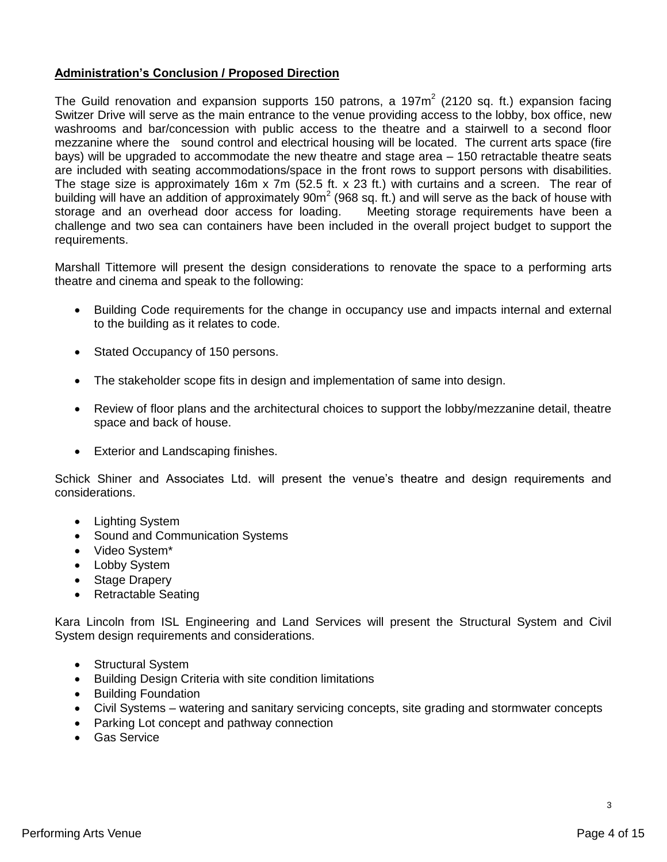### **Administration's Conclusion / Proposed Direction**

The Guild renovation and expansion supports 150 patrons, a 197 $m^2$  (2120 sq. ft.) expansion facing Switzer Drive will serve as the main entrance to the venue providing access to the lobby, box office, new washrooms and bar/concession with public access to the theatre and a stairwell to a second floor mezzanine where the sound control and electrical housing will be located. The current arts space (fire bays) will be upgraded to accommodate the new theatre and stage area – 150 retractable theatre seats are included with seating accommodations/space in the front rows to support persons with disabilities. The stage size is approximately 16m x 7m (52.5 ft. x 23 ft.) with curtains and a screen. The rear of building will have an addition of approximately  $90m^2$  (968 sq. ft.) and will serve as the back of house with storage and an overhead door access for loading. Meeting storage requirements have been a challenge and two sea can containers have been included in the overall project budget to support the requirements.

Marshall Tittemore will present the design considerations to renovate the space to a performing arts theatre and cinema and speak to the following:

- Building Code requirements for the change in occupancy use and impacts internal and external to the building as it relates to code.
- Stated Occupancy of 150 persons.
- The stakeholder scope fits in design and implementation of same into design.
- Review of floor plans and the architectural choices to support the lobby/mezzanine detail, theatre space and back of house.
- Exterior and Landscaping finishes.

Schick Shiner and Associates Ltd. will present the venue's theatre and design requirements and considerations.

- Lighting System
- Sound and Communication Systems
- Video System\*
- Lobby System
- Stage Drapery
- Retractable Seating

Kara Lincoln from ISL Engineering and Land Services will present the Structural System and Civil System design requirements and considerations.

- Structural System
- Building Design Criteria with site condition limitations
- Building Foundation
- Civil Systems watering and sanitary servicing concepts, site grading and stormwater concepts
- Parking Lot concept and pathway connection
- Gas Service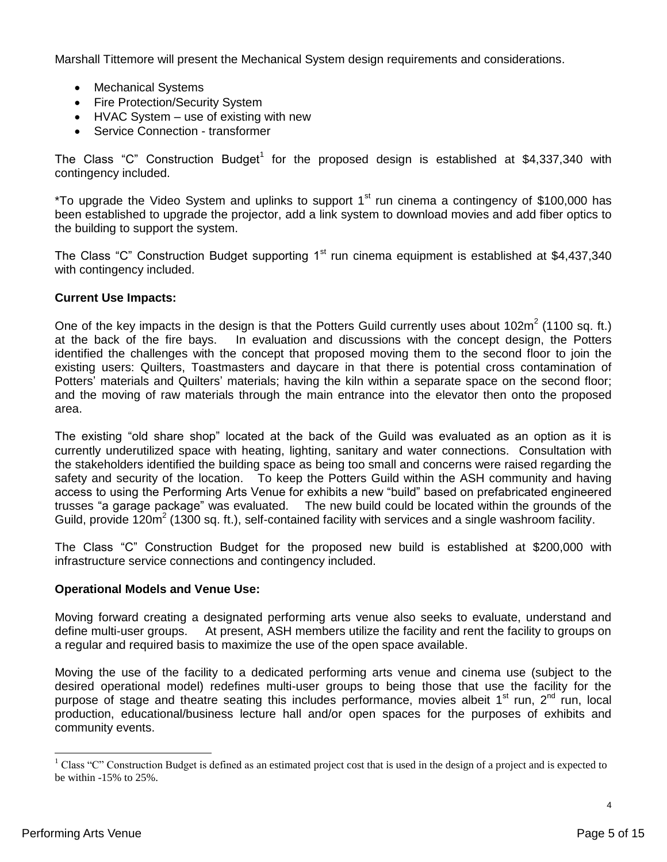Marshall Tittemore will present the Mechanical System design requirements and considerations.

- Mechanical Systems
- Fire Protection/Security System
- HVAC System use of existing with new
- Service Connection transformer

The Class "C" Construction Budget<sup>1</sup> for the proposed design is established at \$4,337,340 with contingency included.

\*To upgrade the Video System and uplinks to support  $1<sup>st</sup>$  run cinema a contingency of \$100,000 has been established to upgrade the projector, add a link system to download movies and add fiber optics to the building to support the system.

The Class "C" Construction Budget supporting  $1<sup>st</sup>$  run cinema equipment is established at \$4,437,340 with contingency included.

### **Current Use Impacts:**

One of the key impacts in the design is that the Potters Guild currently uses about 102 $m^2$  (1100 sq. ft.) at the back of the fire bays. In evaluation and discussions with the concept design, the Potters identified the challenges with the concept that proposed moving them to the second floor to join the existing users: Quilters, Toastmasters and daycare in that there is potential cross contamination of Potters' materials and Quilters' materials; having the kiln within a separate space on the second floor; and the moving of raw materials through the main entrance into the elevator then onto the proposed area.

The existing "old share shop" located at the back of the Guild was evaluated as an option as it is currently underutilized space with heating, lighting, sanitary and water connections. Consultation with the stakeholders identified the building space as being too small and concerns were raised regarding the safety and security of the location. To keep the Potters Guild within the ASH community and having access to using the Performing Arts Venue for exhibits a new "build" based on prefabricated engineered trusses "a garage package" was evaluated. The new build could be located within the grounds of the Guild, provide  $120m^2$  (1300 sq. ft.), self-contained facility with services and a single washroom facility.

The Class "C" Construction Budget for the proposed new build is established at \$200,000 with infrastructure service connections and contingency included.

### **Operational Models and Venue Use:**

Moving forward creating a designated performing arts venue also seeks to evaluate, understand and define multi-user groups. At present, ASH members utilize the facility and rent the facility to groups on a regular and required basis to maximize the use of the open space available.

Moving the use of the facility to a dedicated performing arts venue and cinema use (subject to the desired operational model) redefines multi-user groups to being those that use the facility for the purpose of stage and theatre seating this includes performance, movies albeit  $1<sup>st</sup>$  run,  $2<sup>nd</sup>$  run, local production, educational/business lecture hall and/or open spaces for the purposes of exhibits and community events.

l

<sup>&</sup>lt;sup>1</sup> Class "C" Construction Budget is defined as an estimated project cost that is used in the design of a project and is expected to be within -15% to 25%.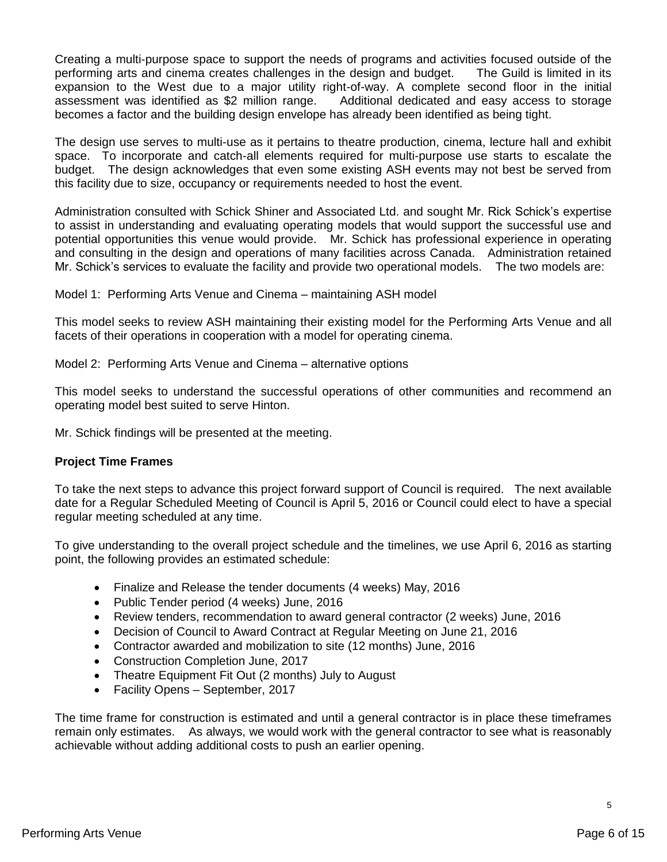Creating a multi-purpose space to support the needs of programs and activities focused outside of the performing arts and cinema creates challenges in the design and budget. The Guild is limited in its expansion to the West due to a major utility right-of-way. A complete second floor in the initial assessment was identified as \$2 million range. Additional dedicated and easy access to storage becomes a factor and the building design envelope has already been identified as being tight.

The design use serves to multi-use as it pertains to theatre production, cinema, lecture hall and exhibit space. To incorporate and catch-all elements required for multi-purpose use starts to escalate the budget. The design acknowledges that even some existing ASH events may not best be served from this facility due to size, occupancy or requirements needed to host the event.

Administration consulted with Schick Shiner and Associated Ltd. and sought Mr. Rick Schick's expertise to assist in understanding and evaluating operating models that would support the successful use and potential opportunities this venue would provide. Mr. Schick has professional experience in operating and consulting in the design and operations of many facilities across Canada. Administration retained Mr. Schick's services to evaluate the facility and provide two operational models. The two models are:

Model 1: Performing Arts Venue and Cinema – maintaining ASH model

This model seeks to review ASH maintaining their existing model for the Performing Arts Venue and all facets of their operations in cooperation with a model for operating cinema.

Model 2: Performing Arts Venue and Cinema – alternative options

This model seeks to understand the successful operations of other communities and recommend an operating model best suited to serve Hinton.

Mr. Schick findings will be presented at the meeting.

### **Project Time Frames**

To take the next steps to advance this project forward support of Council is required. The next available date for a Regular Scheduled Meeting of Council is April 5, 2016 or Council could elect to have a special regular meeting scheduled at any time.

To give understanding to the overall project schedule and the timelines, we use April 6, 2016 as starting point, the following provides an estimated schedule:

- Finalize and Release the tender documents (4 weeks) May, 2016
- Public Tender period (4 weeks) June, 2016
- Review tenders, recommendation to award general contractor (2 weeks) June, 2016
- Decision of Council to Award Contract at Regular Meeting on June 21, 2016
- Contractor awarded and mobilization to site (12 months) June, 2016
- Construction Completion June, 2017
- Theatre Equipment Fit Out (2 months) July to August
- Facility Opens September, 2017

The time frame for construction is estimated and until a general contractor is in place these timeframes remain only estimates. As always, we would work with the general contractor to see what is reasonably achievable without adding additional costs to push an earlier opening.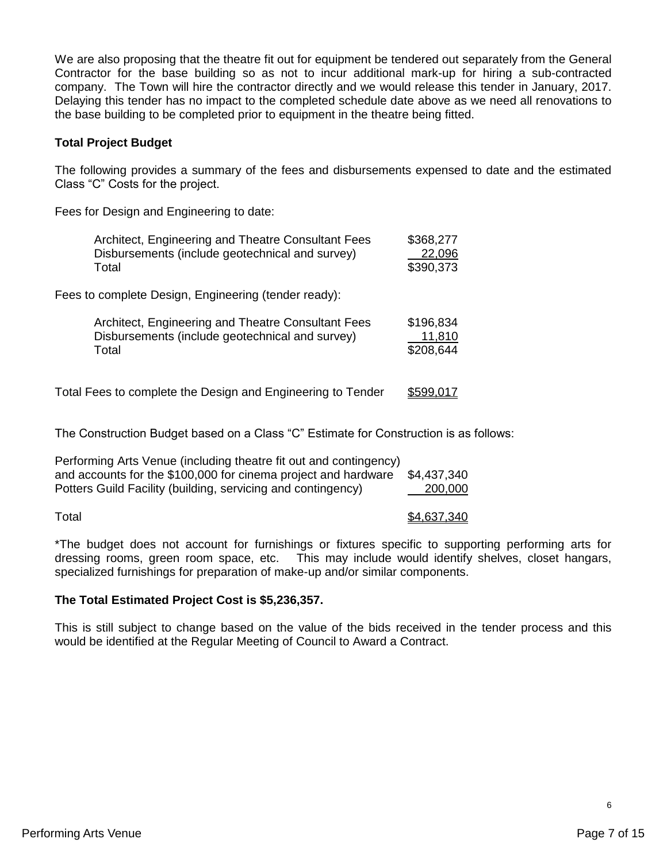We are also proposing that the theatre fit out for equipment be tendered out separately from the General Contractor for the base building so as not to incur additional mark-up for hiring a sub-contracted company. The Town will hire the contractor directly and we would release this tender in January, 2017. Delaying this tender has no impact to the completed schedule date above as we need all renovations to the base building to be completed prior to equipment in the theatre being fitted.

#### **Total Project Budget**

The following provides a summary of the fees and disbursements expensed to date and the estimated Class "C" Costs for the project.

Fees for Design and Engineering to date:

| Architect, Engineering and Theatre Consultant Fees   | \$368,277 |
|------------------------------------------------------|-----------|
| Disbursements (include geotechnical and survey)      | 22,096    |
| Total                                                | \$390,373 |
| Fees to complete Design, Engineering (tender ready): |           |
| Architect, Engineering and Theatre Consultant Fees   | \$196,834 |
| Disbursements (include geotechnical and survey)      | 11,810    |
| Total                                                | \$208,644 |

Total Fees to complete the Design and Engineering to Tender \$599,017

The Construction Budget based on a Class "C" Estimate for Construction is as follows:

| Performing Arts Venue (including theatre fit out and contingency) |             |
|-------------------------------------------------------------------|-------------|
| and accounts for the \$100,000 for cinema project and hardware    | \$4.437.340 |
| Potters Guild Facility (building, servicing and contingency)      | 200,000     |
|                                                                   |             |
| Total                                                             | \$4,637,340 |

\*The budget does not account for furnishings or fixtures specific to supporting performing arts for dressing rooms, green room space, etc. This may include would identify shelves, closet hangars, specialized furnishings for preparation of make-up and/or similar components.

### **The Total Estimated Project Cost is \$5,236,357.**

This is still subject to change based on the value of the bids received in the tender process and this would be identified at the Regular Meeting of Council to Award a Contract.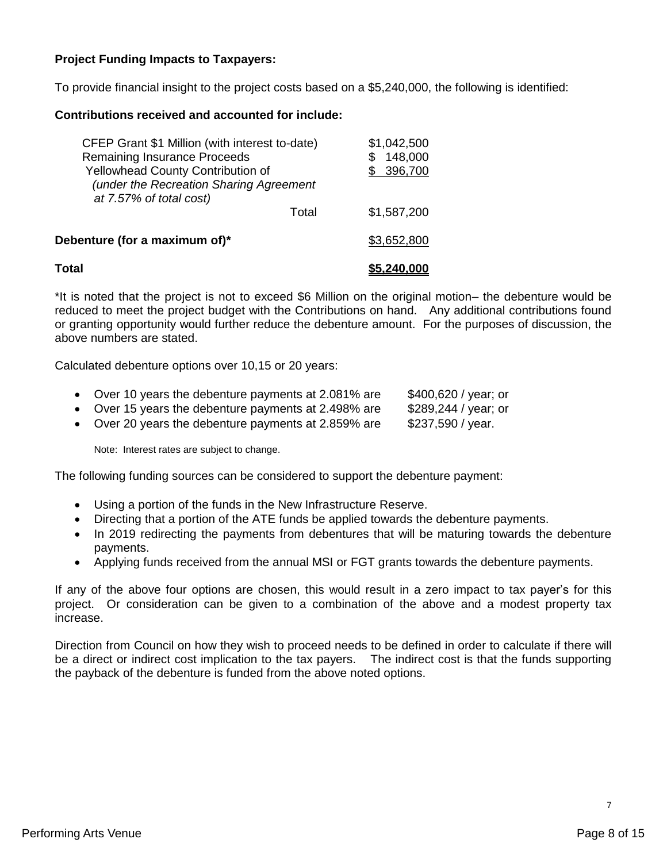#### **Project Funding Impacts to Taxpayers:**

To provide financial insight to the project costs based on a \$5,240,000, the following is identified:

#### **Contributions received and accounted for include:**

| CFEP Grant \$1 Million (with interest to-date)                     |       | \$1,042,500 |
|--------------------------------------------------------------------|-------|-------------|
| Remaining Insurance Proceeds                                       |       | 148,000     |
| Yellowhead County Contribution of                                  |       | 396,700     |
| (under the Recreation Sharing Agreement<br>at 7.57% of total cost) |       |             |
|                                                                    | Total | \$1,587,200 |
| Debenture (for a maximum of)*                                      |       | \$3,652,800 |
| Total                                                              |       |             |

\*It is noted that the project is not to exceed \$6 Million on the original motion– the debenture would be reduced to meet the project budget with the Contributions on hand. Any additional contributions found or granting opportunity would further reduce the debenture amount. For the purposes of discussion, the above numbers are stated.

Calculated debenture options over 10,15 or 20 years:

|  |  |  | Over 10 years the debenture payments at 2.081% are | \$400,620 / year; or |
|--|--|--|----------------------------------------------------|----------------------|
|  |  |  | $\sim$ $\sim$ $\sim$ $\sim$ $\sim$ $\sim$ $\sim$   | $A - A - A$          |

- Over 15 years the debenture payments at 2.498% are  $$289,244 /$  year; or
- Over 20 years the debenture payments at  $2.859\%$  are  $$237,590$  / year.

Note: Interest rates are subject to change.

The following funding sources can be considered to support the debenture payment:

- Using a portion of the funds in the New Infrastructure Reserve.
- Directing that a portion of the ATE funds be applied towards the debenture payments.
- In 2019 redirecting the payments from debentures that will be maturing towards the debenture payments.
- Applying funds received from the annual MSI or FGT grants towards the debenture payments.

If any of the above four options are chosen, this would result in a zero impact to tax payer's for this project. Or consideration can be given to a combination of the above and a modest property tax increase.

Direction from Council on how they wish to proceed needs to be defined in order to calculate if there will be a direct or indirect cost implication to the tax payers. The indirect cost is that the funds supporting the payback of the debenture is funded from the above noted options.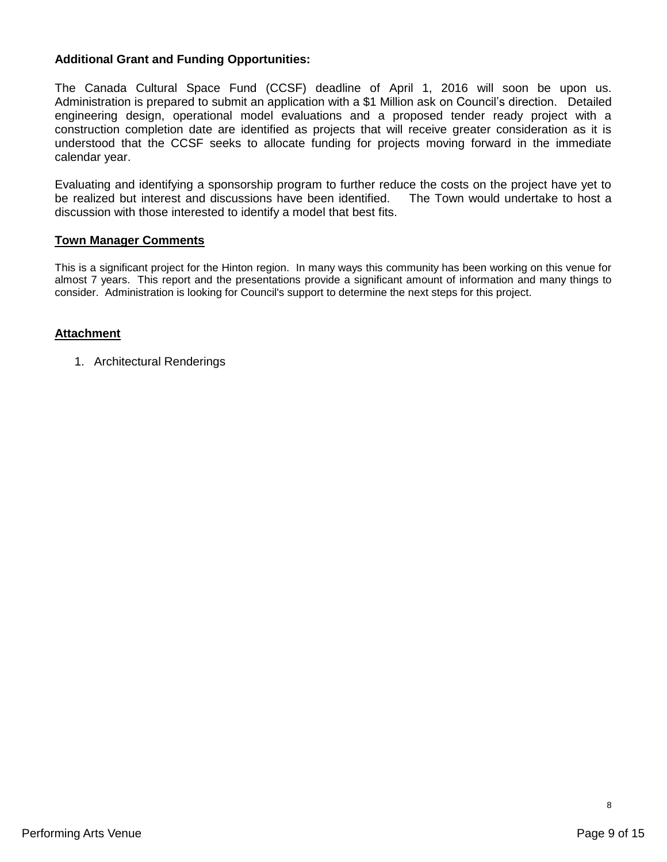#### **Additional Grant and Funding Opportunities:**

The Canada Cultural Space Fund (CCSF) deadline of April 1, 2016 will soon be upon us. Administration is prepared to submit an application with a \$1 Million ask on Council's direction. Detailed engineering design, operational model evaluations and a proposed tender ready project with a construction completion date are identified as projects that will receive greater consideration as it is understood that the CCSF seeks to allocate funding for projects moving forward in the immediate calendar year.

Evaluating and identifying a sponsorship program to further reduce the costs on the project have yet to be realized but interest and discussions have been identified. The Town would undertake to host a be realized but interest and discussions have been identified. discussion with those interested to identify a model that best fits.

#### **Town Manager Comments**

This is a significant project for the Hinton region. In many ways this community has been working on this venue for almost 7 years. This report and the presentations provide a significant amount of information and many things to consider. Administration is looking for Council's support to determine the next steps for this project.

#### **Attachment**

1. Architectural Renderings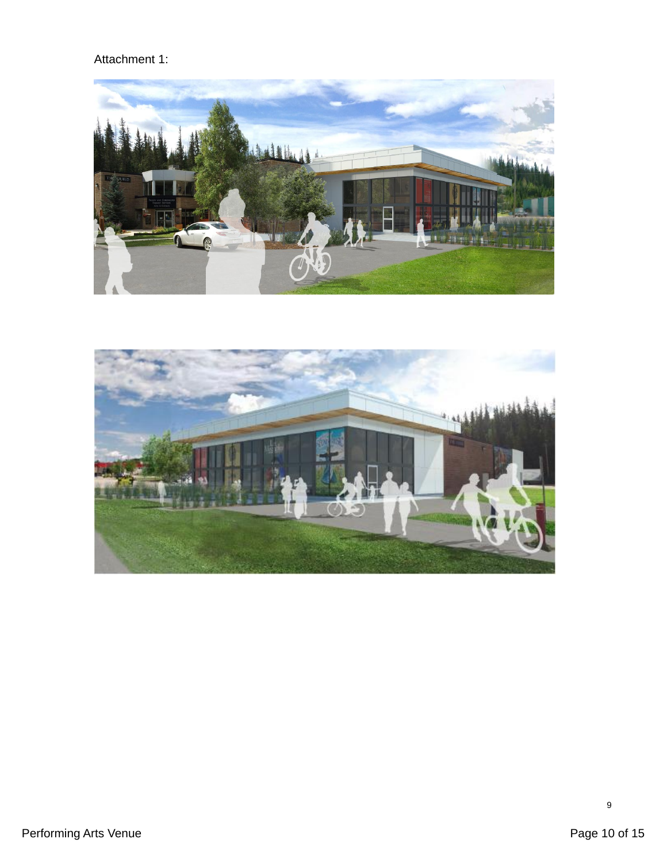# Attachment 1:



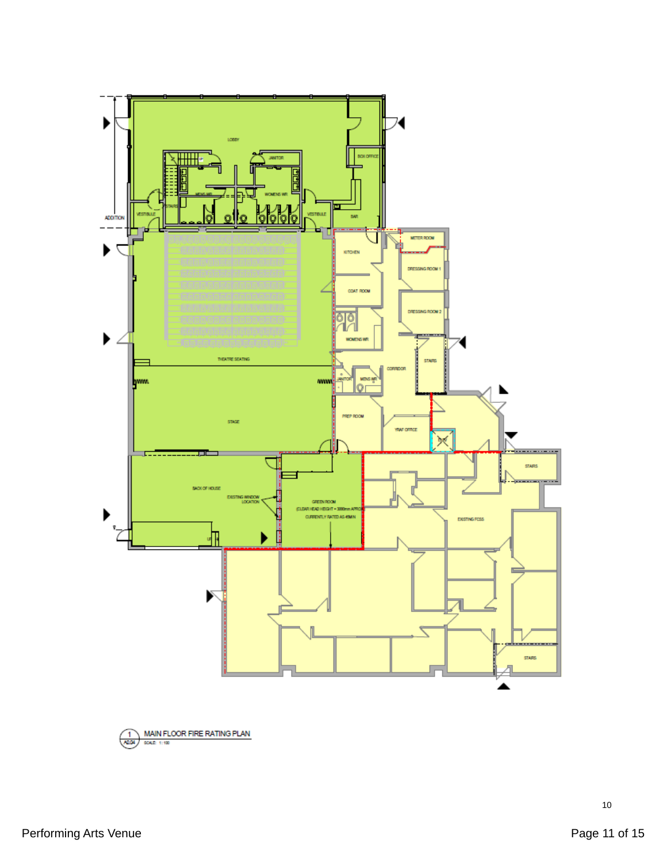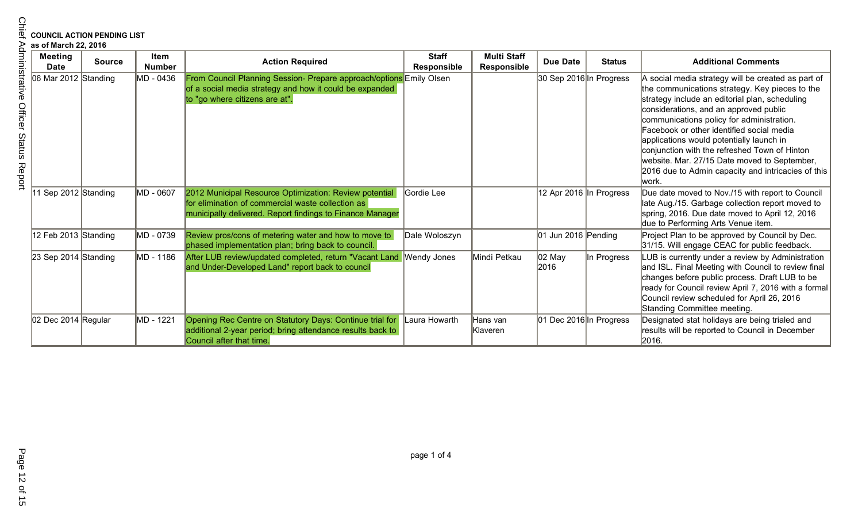# **COUNCIL ACTION PENDING LIST**

|                               | as of March 22, 2016 |                       |                                                                                                                                                                          |                                    |                                   |                                 |               |                                                                                                                                                                                                                                                                                                                                                                                                                                                                                                         |  |  |
|-------------------------------|----------------------|-----------------------|--------------------------------------------------------------------------------------------------------------------------------------------------------------------------|------------------------------------|-----------------------------------|---------------------------------|---------------|---------------------------------------------------------------------------------------------------------------------------------------------------------------------------------------------------------------------------------------------------------------------------------------------------------------------------------------------------------------------------------------------------------------------------------------------------------------------------------------------------------|--|--|
| <b>Meeting</b><br><b>Date</b> | <b>Source</b>        | Item<br><b>Number</b> | <b>Action Required</b>                                                                                                                                                   | <b>Staff</b><br><b>Responsible</b> | <b>Multi Staff</b><br>Responsible | <b>Due Date</b>                 | <b>Status</b> | <b>Additional Comments</b>                                                                                                                                                                                                                                                                                                                                                                                                                                                                              |  |  |
| 06 Mar 2012 Standing          |                      | MD - 0436             | From Council Planning Session- Prepare approach/options Emily Olsen<br>of a social media strategy and how it could be expanded<br>to "go where citizens are at".         |                                    |                                   | 30 Sep 2016 In Progress         |               | A social media strategy will be created as part of<br>the communications strategy. Key pieces to the<br>strategy include an editorial plan, scheduling<br>considerations, and an approved public<br>communications policy for administration.<br>Facebook or other identified social media<br>applications would potentially launch in<br>conjunction with the refreshed Town of Hinton<br>website. Mar. 27/15 Date moved to September,<br>2016 due to Admin capacity and intricacies of this<br>lwork. |  |  |
| 11 Sep 2012 Standing          |                      | MD - 0607             | 2012 Municipal Resource Optimization: Review potential<br>for elimination of commercial waste collection as<br>municipally delivered. Report findings to Finance Manager | Gordie Lee                         |                                   | 12 Apr 2016 In Progress         |               | Due date moved to Nov./15 with report to Council<br>late Aug./15. Garbage collection report moved to<br>spring, 2016. Due date moved to April 12, 2016<br>due to Performing Arts Venue item.                                                                                                                                                                                                                                                                                                            |  |  |
| 12 Feb 2013 Standing          |                      | MD - 0739             | Review pros/cons of metering water and how to move to<br>phased implementation plan; bring back to council.                                                              | Dale Woloszyn                      |                                   | $ 01 \text{ Jun } 2016$ Pending |               | Project Plan to be approved by Council by Dec.<br>31/15. Will engage CEAC for public feedback.                                                                                                                                                                                                                                                                                                                                                                                                          |  |  |
| $\vert$ 23 Sep 2014 Standing  |                      | MD - 1186             | After LUB review/updated completed, return "Vacant Land   Wendy Jones<br>and Under-Developed Land" report back to council                                                |                                    | Mindi Petkau                      | 02 May<br>2016                  | In Progress   | LUB is currently under a review by Administration<br>and ISL. Final Meeting with Council to review final<br>changes before public process. Draft LUB to be<br>ready for Council review April 7, 2016 with a formal<br>Council review scheduled for April 26, 2016<br>Standing Committee meeting.                                                                                                                                                                                                        |  |  |
| 02 Dec 2014 Regular           |                      | MD - 1221             | Opening Rec Centre on Statutory Days: Continue trial for<br>additional 2-year period; bring attendance results back to<br>Council after that time.                       | Laura Howarth                      | Hans van<br>Klaveren              | 01 Dec 2016 In Progress         |               | Designated stat holidays are being trialed and<br>results will be reported to Council in December<br>12016.                                                                                                                                                                                                                                                                                                                                                                                             |  |  |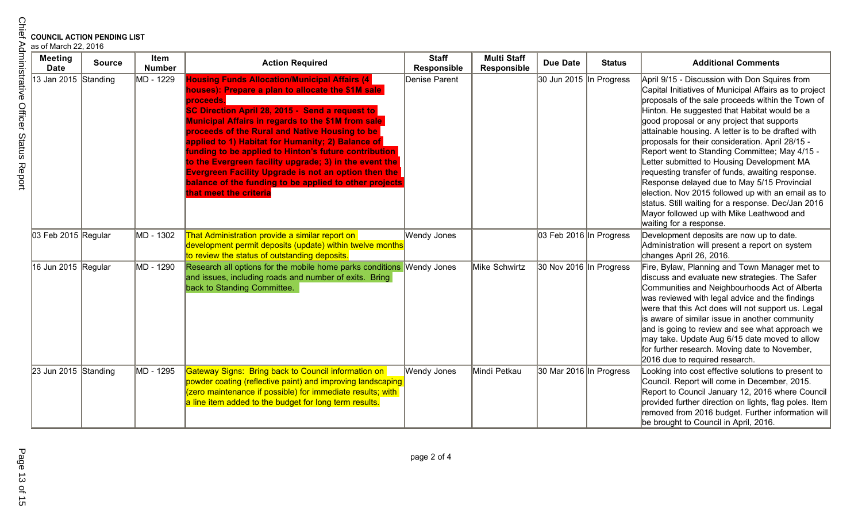|                                           | <b>COUNCIL ACTION PENDING LIST</b>                    |               |                       |                                                                                                                                                                                                                                                                                                                                                                                                                                                                                                                                                                                                              |                                    |                                          |                         |               |                                                                                                                                                                                                                                                                                                                                                                                                                                                                                                                                                                                                                                                                                                                                                            |
|-------------------------------------------|-------------------------------------------------------|---------------|-----------------------|--------------------------------------------------------------------------------------------------------------------------------------------------------------------------------------------------------------------------------------------------------------------------------------------------------------------------------------------------------------------------------------------------------------------------------------------------------------------------------------------------------------------------------------------------------------------------------------------------------------|------------------------------------|------------------------------------------|-------------------------|---------------|------------------------------------------------------------------------------------------------------------------------------------------------------------------------------------------------------------------------------------------------------------------------------------------------------------------------------------------------------------------------------------------------------------------------------------------------------------------------------------------------------------------------------------------------------------------------------------------------------------------------------------------------------------------------------------------------------------------------------------------------------------|
|                                           | as of March 22, 2016<br><b>Meeting</b><br><b>Date</b> | <b>Source</b> | Item<br><b>Number</b> | <b>Action Required</b>                                                                                                                                                                                                                                                                                                                                                                                                                                                                                                                                                                                       | <b>Staff</b><br><b>Responsible</b> | <b>Multi Staff</b><br><b>Responsible</b> | <b>Due Date</b>         | <b>Status</b> | <b>Additional Comments</b>                                                                                                                                                                                                                                                                                                                                                                                                                                                                                                                                                                                                                                                                                                                                 |
| dministrative<br>Officer Status<br>Report | 13 Jan 2015 Standing                                  |               | MD - 1229             | <b>Housing Funds Allocation/Municipal Affairs (4</b><br>houses): Prepare a plan to allocate the \$1M sale<br>proceeds.<br>SC Direction April 28, 2015 - Send a request to<br>Municipal Affairs in regards to the \$1M from sale<br>proceeds of the Rural and Native Housing to be<br>applied to 1) Habitat for Humanity; 2) Balance of<br>funding to be applied to Hinton's future contribution<br>to the Evergreen facility upgrade; 3) in the event the<br><b>Evergreen Facility Upgrade is not an option then the</b><br>balance of the funding to be applied to other projects<br>that meet the criteria | Denise Parent                      |                                          | 30 Jun 2015 In Progress |               | April 9/15 - Discussion with Don Squires from<br>Capital Initiatives of Municipal Affairs as to project<br>proposals of the sale proceeds within the Town of<br>Hinton. He suggested that Habitat would be a<br>good proposal or any project that supports<br>attainable housing. A letter is to be drafted with<br>proposals for their consideration. April 28/15 -<br>Report went to Standing Committee; May 4/15 -<br>Letter submitted to Housing Development MA<br>requesting transfer of funds, awaiting response.<br>Response delayed due to May 5/15 Provincial<br>election. Nov 2015 followed up with an email as to<br>status. Still waiting for a response. Dec/Jan 2016<br>Mayor followed up with Mike Leathwood and<br>waiting for a response. |
|                                           | 03 Feb 2015 Regular                                   |               | MD - 1302             | That Administration provide a similar report on<br>development permit deposits (update) within twelve months<br>to review the status of outstanding deposits.                                                                                                                                                                                                                                                                                                                                                                                                                                                | Wendy Jones                        |                                          | 03 Feb 2016 In Progress |               | Development deposits are now up to date.<br>Administration will present a report on system<br>changes April 26, 2016.                                                                                                                                                                                                                                                                                                                                                                                                                                                                                                                                                                                                                                      |
|                                           | 16 Jun 2015 Regular                                   |               | MD - 1290             | Research all options for the mobile home parks conditions Wendy Jones<br>and issues, including roads and number of exits. Bring<br>back to Standing Committee.                                                                                                                                                                                                                                                                                                                                                                                                                                               |                                    | Mike Schwirtz                            | 30 Nov 2016 In Progress |               | Fire, Bylaw, Planning and Town Manager met to<br>discuss and evaluate new strategies. The Safer<br>Communities and Neighbourhoods Act of Alberta<br>was reviewed with legal advice and the findings<br>were that this Act does will not support us. Legal<br>is aware of similar issue in another community<br>and is going to review and see what approach we<br>may take. Update Aug 6/15 date moved to allow<br>for further research. Moving date to November,<br>2016 due to required research.                                                                                                                                                                                                                                                        |
|                                           | 23 Jun 2015 Standing                                  |               | MD - 1295             | Gateway Signs: Bring back to Council information on<br>powder coating (reflective paint) and improving landscaping<br>(zero maintenance if possible) for immediate results; with<br>a line item added to the budget for long term results.                                                                                                                                                                                                                                                                                                                                                                   | Wendy Jones                        | Mindi Petkau                             | 30 Mar 2016 In Progress |               | Looking into cost effective solutions to present to<br>Council. Report will come in December, 2015.<br>Report to Council January 12, 2016 where Council<br>provided further direction on lights, flag poles. Item<br>removed from 2016 budget. Further information will<br>be brought to Council in April, 2016.                                                                                                                                                                                                                                                                                                                                                                                                                                           |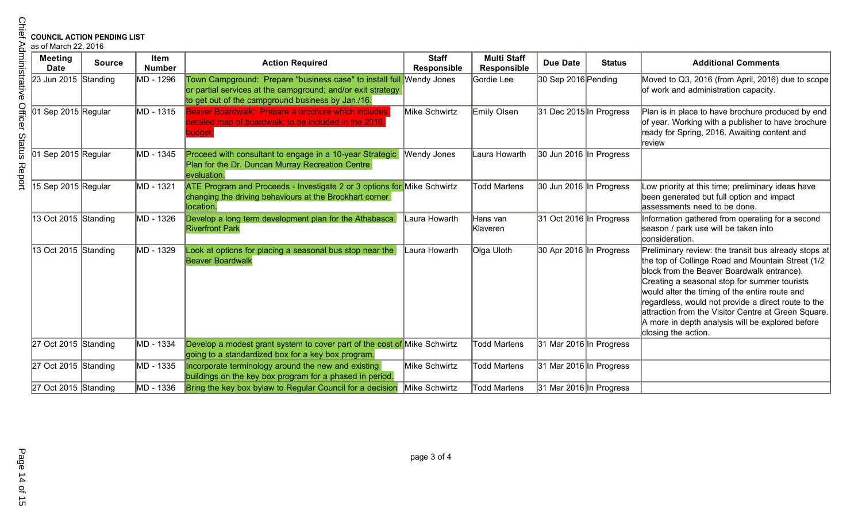| COUNCIL ACTION PENDING LIST<br>as of March 22, 2016 |               |                       |                                                                                                                                                                              |                                    |                                   |                         |               |                                                                                                                                                                                                                                                                                                                                                                                                                                                    |  |
|-----------------------------------------------------|---------------|-----------------------|------------------------------------------------------------------------------------------------------------------------------------------------------------------------------|------------------------------------|-----------------------------------|-------------------------|---------------|----------------------------------------------------------------------------------------------------------------------------------------------------------------------------------------------------------------------------------------------------------------------------------------------------------------------------------------------------------------------------------------------------------------------------------------------------|--|
| <b>Meeting</b><br><b>Date</b>                       | <b>Source</b> | Item<br><b>Number</b> | <b>Action Required</b>                                                                                                                                                       | <b>Staff</b><br><b>Responsible</b> | <b>Multi Staff</b><br>Responsible | <b>Due Date</b>         | <b>Status</b> | <b>Additional Comments</b>                                                                                                                                                                                                                                                                                                                                                                                                                         |  |
| $\vert$ 23 Jun 2015 Standing                        |               | MD - 1296             | Town Campground: Prepare "business case" to install full<br>or partial services at the campground; and/or exit strategy<br>to get out of the campground business by Jan./16. | <b>Wendy Jones</b>                 | Gordie Lee                        | 30 Sep 2016 Pending     |               | Moved to Q3, 2016 (from April, 2016) due to scope<br>of work and administration capacity.                                                                                                                                                                                                                                                                                                                                                          |  |
| $ 01$ Sep 2015 Regular                              |               | MD - 1315             | Beaver Boardwalk: Prepare a brochure which includes<br>detailed map of boardwalk; to be included in the 2016<br>budget.                                                      | Mike Schwirtz                      | Emily Olsen                       | 31 Dec 2015 In Progress |               | Plan is in place to have brochure produced by end<br>of year. Working with a publisher to have brochure<br>ready for Spring, 2016. Awaiting content and<br>review                                                                                                                                                                                                                                                                                  |  |
| 01 Sep 2015 Regular                                 |               | MD - 1345             | Proceed with consultant to engage in a 10-year Strategic<br>Plan for the Dr. Duncan Murray Recreation Centre<br>evaluation.                                                  | <b>Wendy Jones</b>                 | Laura Howarth                     | 30 Jun 2016 In Progress |               |                                                                                                                                                                                                                                                                                                                                                                                                                                                    |  |
| 15 Sep 2015 Regular                                 |               | MD - 1321             | ATE Program and Proceeds - Investigate 2 or 3 options for Mike Schwirtz<br>changing the driving behaviours at the Brookhart corner<br>location.                              |                                    | <b>Todd Martens</b>               | 30 Jun 2016 In Progress |               | Low priority at this time; preliminary ideas have<br>been generated but full option and impact<br>assessments need to be done.                                                                                                                                                                                                                                                                                                                     |  |
| 13 Oct 2015 Standing                                |               | MD - 1326             | Develop a long term development plan for the Athabasca<br><b>Riverfront Park</b>                                                                                             | Laura Howarth                      | Hans van<br>Klaveren              | 31 Oct 2016 In Progress |               | Information gathered from operating for a second<br>season / park use will be taken into<br>consideration.                                                                                                                                                                                                                                                                                                                                         |  |
| 13 Oct 2015 Standing                                |               | MD - 1329             | Look at options for placing a seasonal bus stop near the<br><b>Beaver Boardwalk</b>                                                                                          | Laura Howarth                      | Olga Uloth                        | 30 Apr 2016 In Progress |               | Preliminary review: the transit bus already stops at<br>the top of Collinge Road and Mountain Street (1/2<br>block from the Beaver Boardwalk entrance).<br>Creating a seasonal stop for summer tourists<br>would alter the timing of the entire route and<br>regardless, would not provide a direct route to the<br>attraction from the Visitor Centre at Green Square.<br>A more in depth analysis will be explored before<br>closing the action. |  |
| 27 Oct 2015 Standing                                |               | MD - 1334             | Develop a modest grant system to cover part of the cost of Mike Schwirtz<br>going to a standardized box for a key box program.                                               |                                    | <b>Todd Martens</b>               | 31 Mar 2016 In Progress |               |                                                                                                                                                                                                                                                                                                                                                                                                                                                    |  |
| $27$ Oct 2015 Standing                              |               | MD - 1335             | Incorporate terminology around the new and existing<br>buildings on the key box program for a phased in period.                                                              | Mike Schwirtz                      | <b>Todd Martens</b>               | 31 Mar 2016 In Progress |               |                                                                                                                                                                                                                                                                                                                                                                                                                                                    |  |
| 27 Oct 2015 Standing                                |               | MD - 1336             | Bring the key box bylaw to Regular Council for a decision                                                                                                                    | Mike Schwirtz                      | <b>Todd Martens</b>               | 31 Mar 2016 In Progress |               |                                                                                                                                                                                                                                                                                                                                                                                                                                                    |  |